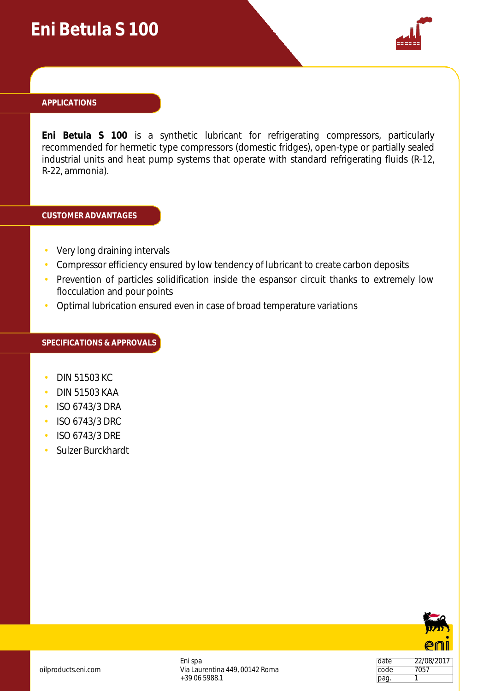## **Eni Betula S 100**



#### **APPLICATIONS**

**Eni Betula S 100** is a synthetic lubricant for refrigerating compressors, particularly recommended for hermetic type compressors (domestic fridges), open-type or partially sealed industrial units and heat pump systems that operate with standard refrigerating fluids (R-12, R-22, ammonia).

### **CUSTOMER ADVANTAGES**

- Very long draining intervals
- Compressor efficiency ensured by low tendency of lubricant to create carbon deposits
- Prevention of particles solidification inside the espansor circuit thanks to extremely low flocculation and pour points
- Optimal lubrication ensured even in case of broad temperature variations

#### **SPECIFICATIONS & APPROVALS**

- DIN 51503 KC
- DIN 51503 KAA
- ISO 6743/3 DRA
- ISO 6743/3 DRC
- ISO 6743/3 DRE
- Sulzer Burckhardt



date 22/08/2017 code 7057 pag. 1